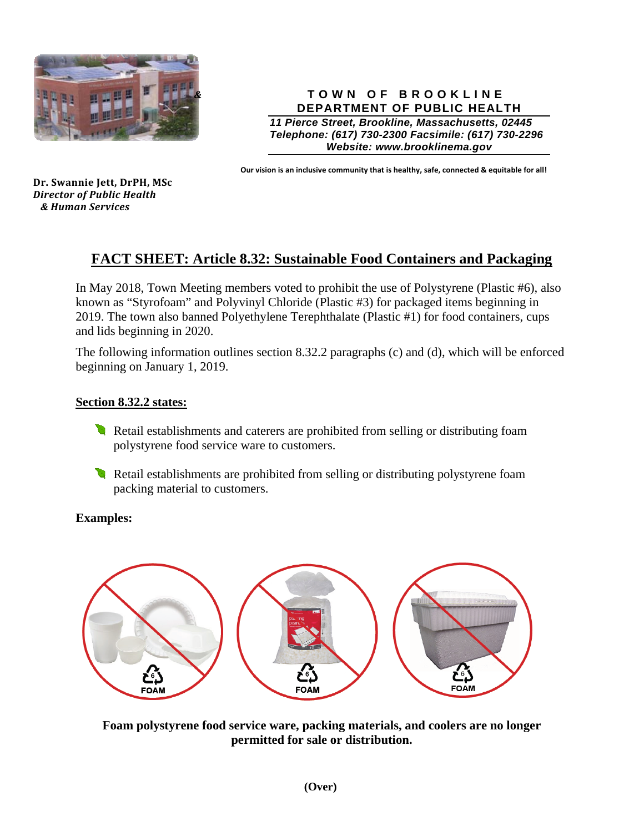

**TOWN OF BROOKLINE DEPARTMENT OF PUBLIC HEALTH** 

*11 Pierce Street, Brookline, Massachusetts, 02445 Telephone: (617) 730-2300 Facsimile: (617) 730-2296 Website: www.brooklinema.gov* 

**Our vision is an inclusive community that is healthy, safe, connected & equitable for all!**

**Dr. Swannie Jett, DrPH, MSc** *Director of Public Health & Human Services* 

# **FACT SHEET: Article 8.32: Sustainable Food Containers and Packaging**

In May 2018, Town Meeting members voted to prohibit the use of Polystyrene (Plastic #6), also known as "Styrofoam" and Polyvinyl Chloride (Plastic #3) for packaged items beginning in 2019. The town also banned Polyethylene Terephthalate (Plastic #1) for food containers, cups and lids beginning in 2020.

The following information outlines section 8.32.2 paragraphs (c) and (d), which will be enforced beginning on January 1, 2019.

#### **Section 8.32.2 states:**

- Retail establishments and caterers are prohibited from selling or distributing foam polystyrene food service ware to customers.
- Retail establishments are prohibited from selling or distributing polystyrene foam packing material to customers.

#### **Examples:**



**Foam polystyrene food service ware, packing materials, and coolers are no longer permitted for sale or distribution.**